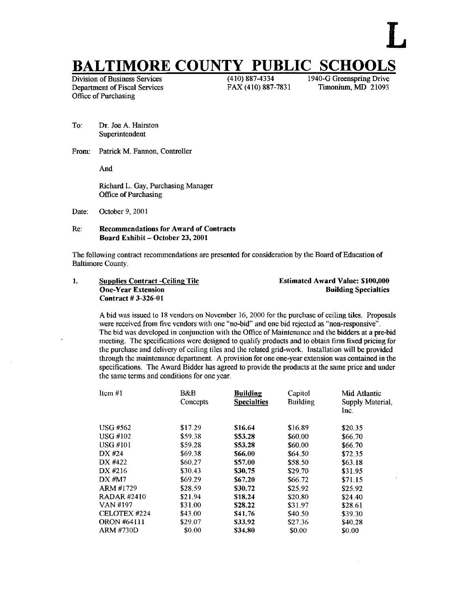# **BALTIMORE COUNTY PUBLIC SCHOOLS**<br>Division of Business Services<br>(410) 887-4334<br>1940-G Greenspring Drive

Division of Business Services (410) 887-4334 1940-G Greenspring Drive<br>Department of Fiscal Services FAX (410) 887-7831 Timonium, MD 21093 Department of Fiscal Services Office of Purchasing

- To: Dr Joe A. Hairston Superintendent
- From: Patrick M. Fannon, Controller

And

Richard L. Gay, Purchasing Manager Office of Purchasing

Date: October 9, 2001

# Re: Recommendations for Award of Contracts Board Exhibit - October 23, 2001

The following contract recommendations are presented for consideration by the Board of Education of Baltimore County.

| <b>Supplies Contract -Ceiling Tile</b> | <b>Estimated Award Value: \$100,000</b> |
|----------------------------------------|-----------------------------------------|
| <b>One-Year Extension</b>              | <b>Building Specialties</b>             |
| Contract #3-326-01                     |                                         |

A bid was issued to <sup>18</sup> vendors on November 16, <sup>2000</sup> for the purchase of ceiling tiles . Proposals were received from five vendors with one "no-bid" and one bid rejected as "non-responsive" . The bid was developed in conjunction with the Office of Maintenance and the bidders at a pre-bid meeting. The specifications were designed to qualify products and to obtain firm fixed pricing for the purchase and delivery of ceiling tiles and the related grid-work. Installation will be provided through the maintenance department. A provision for one one-year extension was contained in the specifications. The Award Bidder has agreed to provide the products at the same price and under the same terms and conditions for one year.

| Item #1            | B&B<br>Concepts | Building<br><b>Specialties</b> | Capitol<br><b>Building</b> | Mid Atlantic<br>Supply Material,<br>Inc. |
|--------------------|-----------------|--------------------------------|----------------------------|------------------------------------------|
| <b>USG #562</b>    | \$17.29         | \$16.64                        | \$16.89                    | \$20.35                                  |
| <b>USG #102</b>    | \$59.38         | \$53.28                        | \$60.00                    | \$66.70                                  |
| USG #101           | \$59.28         | \$53.28                        | \$60.00                    | \$66.70                                  |
| DX #24             | \$69.38         | \$66.00                        | \$64.50                    | \$72.35                                  |
| DX #422            | \$60.27         | \$57.00                        | \$58.50                    | \$63.18                                  |
| DX #216            | \$30.43         | \$30.75                        | \$29.70                    | \$31.95                                  |
| DX #M7             | \$69.29         | \$67.20                        | \$66.72                    | \$71.15                                  |
| ARM #1729          | \$28.59         | \$30.72                        | \$25.92                    | \$25.92                                  |
| <b>RADAR#2410</b>  | \$21.94         | \$18.24                        | \$20.80                    | \$24.40                                  |
| VAN #197           | \$31.00         | \$28.22                        | \$31.97                    | \$28.61                                  |
| CELOTEX #224       | \$43.00         | \$41.76                        | \$40.50                    | \$39.30                                  |
| <b>ORON #64111</b> | \$29.07         | \$33.92                        | \$27.36                    | \$40.28                                  |
| ARM #730D          | \$0.00          | \$34,80                        | \$0.00                     | \$0.00                                   |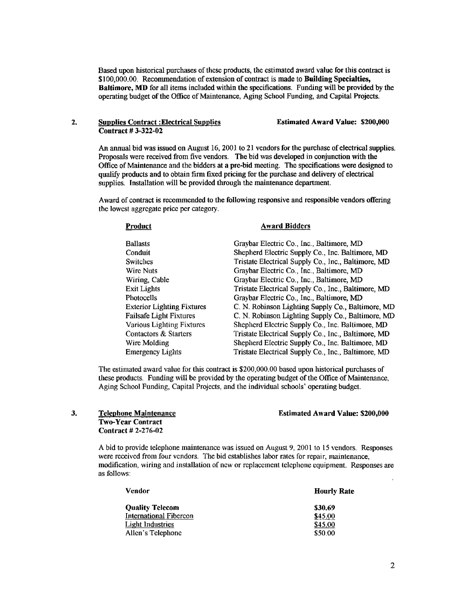Based upon historical purchases of these products, the estimated award value for this contract is \$100,000.00. Recommendation of extension of contract is made to Building Specialties, Baltimore, MD for all items included within the specifications. Funding will be provided by the operating budget of the Office of Maintenance, Aging School Funding, and Capital Projects.

### 2. Supplies Contract :Electrical Supplies Estimated Award Value: \$200,000 Contract # 3-322-02

An annual bid was issued on August 16, 2001 to 21 vendors for the purchase of electrical supplies. Proposals were received from five vendors. The bid was developed in conjunction with the Office of Maintenance and the bidders at a pre-bid meeting. The specifications were designed to qualify products and to obtain firm fixed pricing for the purchase and delivery of electrical supplies. Installation will be provided through the maintenance department.

Award of contract is recommended to the following responsive and responsible vendors offering the lowest aggregate price per category.

| Product                           | Award Bidders                                       |
|-----------------------------------|-----------------------------------------------------|
| <b>Ballasts</b>                   | Graybar Electric Co., Inc., Baltimore, MD           |
| Conduit                           | Shepherd Electric Supply Co., Inc. Baltimore, MD    |
| <b>Switches</b>                   | Tristate Electrical Supply Co., Inc., Baltimore, MD |
| <b>Wire Nuts</b>                  | Graybar Electric Co., Inc., Baltimore, MD           |
| Wiring, Cable                     | Graybar Electric Co., Inc., Baltimore, MD           |
| <b>Exit Lights</b>                | Tristate Electrical Supply Co., Inc., Baltimore, MD |
| <b>Photocells</b>                 | Graybar Electric Co., Inc., Baltimore, MD           |
| <b>Exterior Lighting Fixtures</b> | C. N. Robinson Lighting Supply Co., Baltimore, MD   |
| <b>Failsafe Light Fixtures</b>    | C. N. Robinson Lighting Supply Co., Baltimore, MD   |
| <b>Various Lighting Fixtures</b>  | Shepherd Electric Supply Co., Inc. Baltimore, MD    |
| Contactors & Starters             | Tristate Electrical Supply Co., Inc., Baltimore, MD |
| Wire Molding                      | Shepherd Electric Supply Co., Inc. Baltimore, MD    |
| <b>Emergency Lights</b>           | Tristate Electrical Supply Co., Inc., Baltimore, MD |
|                                   |                                                     |

The estimated award value for this contract is \$200,000.00 based upon historical purchases of these products. Funding will be provided by the operating budget of the Office of Maintenance, Aging School Funding, Capital Projects, and the individual schools' operating budget.

#### Estimated Award Value: \$200,000

## 3. \_Telephone Maintenance Two-Year Contract Contract # 2-276-02

A bid to provide telephone maintenance was issued on August 9, 2001 to <sup>15</sup> vendors . Responses were received from four vendors. The bid establishes labor rates for repair, maintenance, modification, wiring and installation of new or replacement telephone equipment. Responses are as follows :

| Vendor                        | <b>Hourly Rate</b> |
|-------------------------------|--------------------|
| <b>Quality Telecom</b>        | \$30.69            |
| <b>International Fibercon</b> | \$45.00            |
| Light Industries              | \$45.00            |
| Allen's Telephone             | \$50.00            |